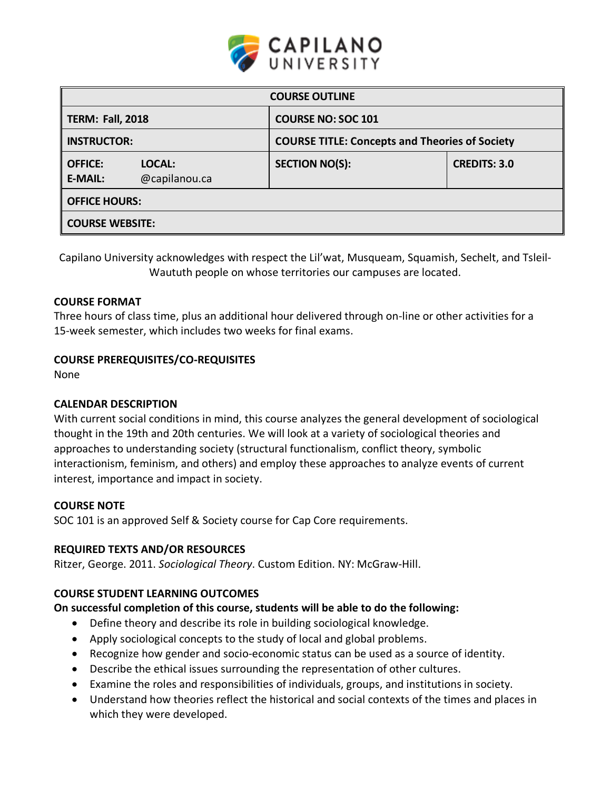

| <b>COURSE OUTLINE</b>            |                         |                                                       |                     |  |  |  |
|----------------------------------|-------------------------|-------------------------------------------------------|---------------------|--|--|--|
| <b>TERM: Fall, 2018</b>          |                         | <b>COURSE NO: SOC 101</b>                             |                     |  |  |  |
| <b>INSTRUCTOR:</b>               |                         | <b>COURSE TITLE: Concepts and Theories of Society</b> |                     |  |  |  |
| <b>OFFICE:</b><br><b>E-MAIL:</b> | LOCAL:<br>@capilanou.ca | <b>SECTION NO(S):</b>                                 | <b>CREDITS: 3.0</b> |  |  |  |
| <b>OFFICE HOURS:</b>             |                         |                                                       |                     |  |  |  |
| <b>COURSE WEBSITE:</b>           |                         |                                                       |                     |  |  |  |

Capilano University acknowledges with respect the Lil'wat, Musqueam, Squamish, Sechelt, and Tsleil-Waututh people on whose territories our campuses are located.

# **COURSE FORMAT**

Three hours of class time, plus an additional hour delivered through on-line or other activities for a 15-week semester, which includes two weeks for final exams.

# **COURSE PREREQUISITES/CO-REQUISITES**

None

# **CALENDAR DESCRIPTION**

With current social conditions in mind, this course analyzes the general development of sociological thought in the 19th and 20th centuries. We will look at a variety of sociological theories and approaches to understanding society (structural functionalism, conflict theory, symbolic interactionism, feminism, and others) and employ these approaches to analyze events of current interest, importance and impact in society.

#### **COURSE NOTE**

SOC 101 is an approved Self & Society course for Cap Core requirements.

#### **REQUIRED TEXTS AND/OR RESOURCES**

Ritzer, George. 2011. *Sociological Theory*. Custom Edition. NY: McGraw-Hill.

# **COURSE STUDENT LEARNING OUTCOMES**

#### **On successful completion of this course, students will be able to do the following:**

- Define theory and describe its role in building sociological knowledge.
- Apply sociological concepts to the study of local and global problems.
- Recognize how gender and socio-economic status can be used as a source of identity.
- Describe the ethical issues surrounding the representation of other cultures.
- Examine the roles and responsibilities of individuals, groups, and institutions in society.
- Understand how theories reflect the historical and social contexts of the times and places in which they were developed.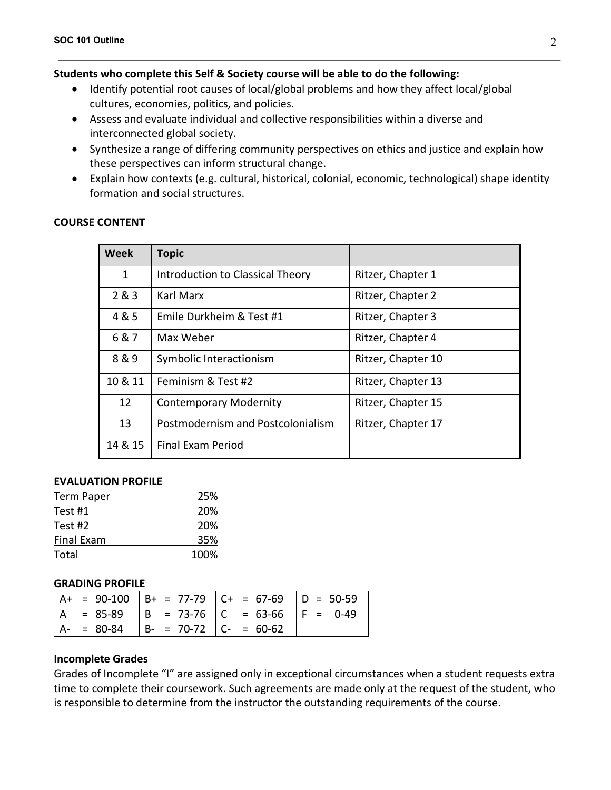# **Students who complete this Self & Society course will be able to do the following:**

- Identify potential root causes of local/global problems and how they affect local/global cultures, economies, politics, and policies.
- Assess and evaluate individual and collective responsibilities within a diverse and interconnected global society.
- Synthesize a range of differing community perspectives on ethics and justice and explain how these perspectives can inform structural change.
- Explain how contexts (e.g. cultural, historical, colonial, economic, technological) shape identity formation and social structures.

| <b>Week</b>  | <b>Topic</b>                      |                    |  |
|--------------|-----------------------------------|--------------------|--|
| $\mathbf{1}$ | Introduction to Classical Theory  | Ritzer, Chapter 1  |  |
| 2&8&3        | Karl Marx                         | Ritzer, Chapter 2  |  |
| 4 & 5        | Emile Durkheim & Test #1          | Ritzer, Chapter 3  |  |
| 6&7          | Max Weber                         | Ritzer, Chapter 4  |  |
| 8&9          | Symbolic Interactionism           | Ritzer, Chapter 10 |  |
| 10 & 11      | Feminism & Test #2                | Ritzer, Chapter 13 |  |
| 12           | <b>Contemporary Modernity</b>     | Ritzer, Chapter 15 |  |
| 13           | Postmodernism and Postcolonialism | Ritzer, Chapter 17 |  |
| 14 & 15      | <b>Final Exam Period</b>          |                    |  |

# **COURSE CONTENT**

#### **EVALUATION PROFILE**

| Term Paper        | 25%  |
|-------------------|------|
| Test #1           | 20%  |
| Test #2           | 20%  |
| <b>Final Exam</b> | 35%  |
| Total             | 100% |

#### **GRADING PROFILE**

|  |                                       | $ A+ = 90-100$ $ B+ = 77-79$ $ C+ = 67-69$ $ D = 50-59$ |  |
|--|---------------------------------------|---------------------------------------------------------|--|
|  |                                       | $ A = 85-89$ $ B = 73-76$ $ C = 63-66$ $ F = 0-49$      |  |
|  | $  A - 80-84   B - 70-72   C - 60-62$ |                                                         |  |

# **Incomplete Grades**

Grades of Incomplete "I" are assigned only in exceptional circumstances when a student requests extra time to complete their coursework. Such agreements are made only at the request of the student, who is responsible to determine from the instructor the outstanding requirements of the course.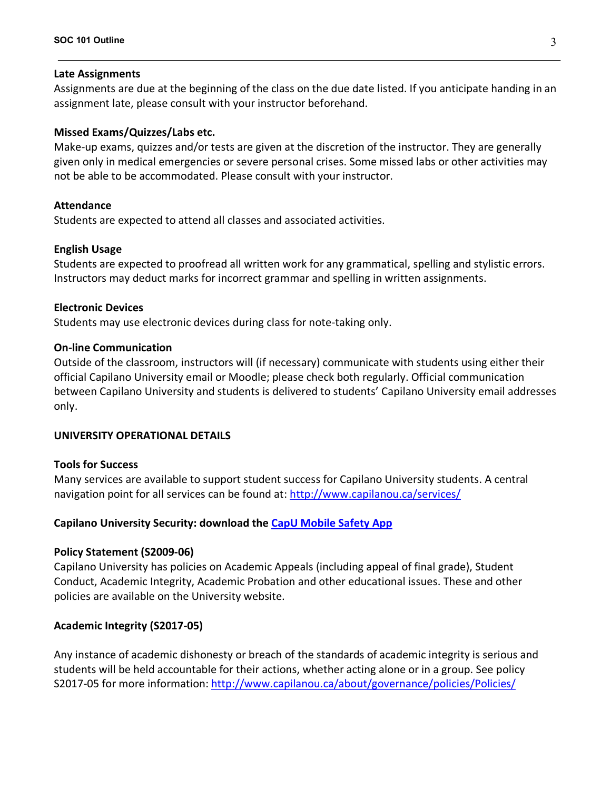#### **Late Assignments**

Assignments are due at the beginning of the class on the due date listed. If you anticipate handing in an assignment late, please consult with your instructor beforehand.

### **Missed Exams/Quizzes/Labs etc.**

Make-up exams, quizzes and/or tests are given at the discretion of the instructor. They are generally given only in medical emergencies or severe personal crises. Some missed labs or other activities may not be able to be accommodated. Please consult with your instructor.

#### **Attendance**

Students are expected to attend all classes and associated activities.

#### **English Usage**

Students are expected to proofread all written work for any grammatical, spelling and stylistic errors. Instructors may deduct marks for incorrect grammar and spelling in written assignments.

#### **Electronic Devices**

Students may use electronic devices during class for note-taking only.

# **On-line Communication**

Outside of the classroom, instructors will (if necessary) communicate with students using either their official Capilano University email or Moodle; please check both regularly. Official communication between Capilano University and students is delivered to students' Capilano University email addresses only.

#### **UNIVERSITY OPERATIONAL DETAILS**

#### **Tools for Success**

Many services are available to support student success for Capilano University students. A central navigation point for all services can be found at: http://www.capilanou.ca/services/

#### **Capilano University Security: download the CapU Mobile Safety App**

#### **Policy Statement (S2009-06)**

Capilano University has policies on Academic Appeals (including appeal of final grade), Student Conduct, Academic Integrity, Academic Probation and other educational issues. These and other policies are available on the University website.

# **Academic Integrity (S2017-05)**

Any instance of academic dishonesty or breach of the standards of academic integrity is serious and students will be held accountable for their actions, whether acting alone or in a group. See policy S2017-05 for more information: http://www.capilanou.ca/about/governance/policies/Policies/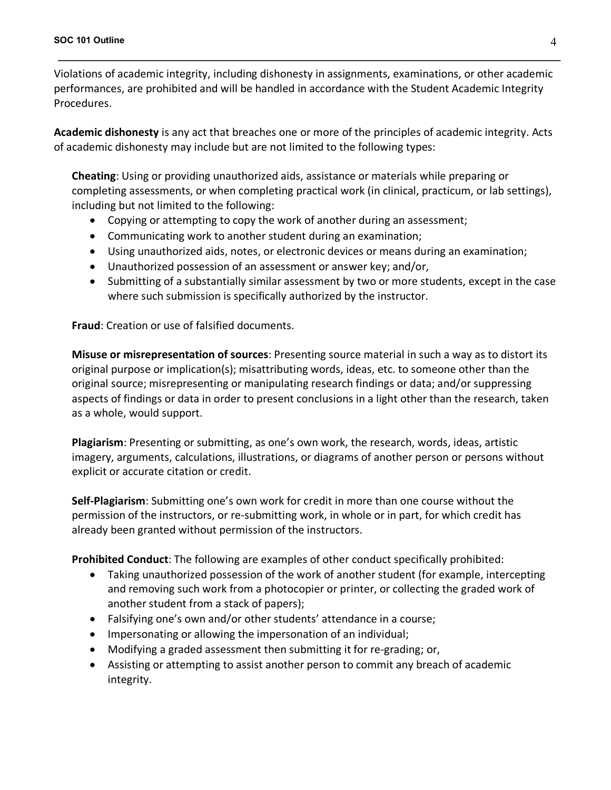Violations of academic integrity, including dishonesty in assignments, examinations, or other academic performances, are prohibited and will be handled in accordance with the Student Academic Integrity Procedures.

**Academic dishonesty** is any act that breaches one or more of the principles of academic integrity. Acts of academic dishonesty may include but are not limited to the following types:

**Cheating**: Using or providing unauthorized aids, assistance or materials while preparing or completing assessments, or when completing practical work (in clinical, practicum, or lab settings), including but not limited to the following:

- Copying or attempting to copy the work of another during an assessment;
- Communicating work to another student during an examination;
- Using unauthorized aids, notes, or electronic devices or means during an examination;
- Unauthorized possession of an assessment or answer key; and/or,
- Submitting of a substantially similar assessment by two or more students, except in the case where such submission is specifically authorized by the instructor.

**Fraud**: Creation or use of falsified documents.

**Misuse or misrepresentation of sources**: Presenting source material in such a way as to distort its original purpose or implication(s); misattributing words, ideas, etc. to someone other than the original source; misrepresenting or manipulating research findings or data; and/or suppressing aspects of findings or data in order to present conclusions in a light other than the research, taken as a whole, would support.

**Plagiarism**: Presenting or submitting, as one's own work, the research, words, ideas, artistic imagery, arguments, calculations, illustrations, or diagrams of another person or persons without explicit or accurate citation or credit.

**Self-Plagiarism**: Submitting one's own work for credit in more than one course without the permission of the instructors, or re-submitting work, in whole or in part, for which credit has already been granted without permission of the instructors.

**Prohibited Conduct**: The following are examples of other conduct specifically prohibited:

- Taking unauthorized possession of the work of another student (for example, intercepting and removing such work from a photocopier or printer, or collecting the graded work of another student from a stack of papers);
- Falsifying one's own and/or other students' attendance in a course;
- Impersonating or allowing the impersonation of an individual;
- Modifying a graded assessment then submitting it for re-grading; or,
- Assisting or attempting to assist another person to commit any breach of academic integrity.